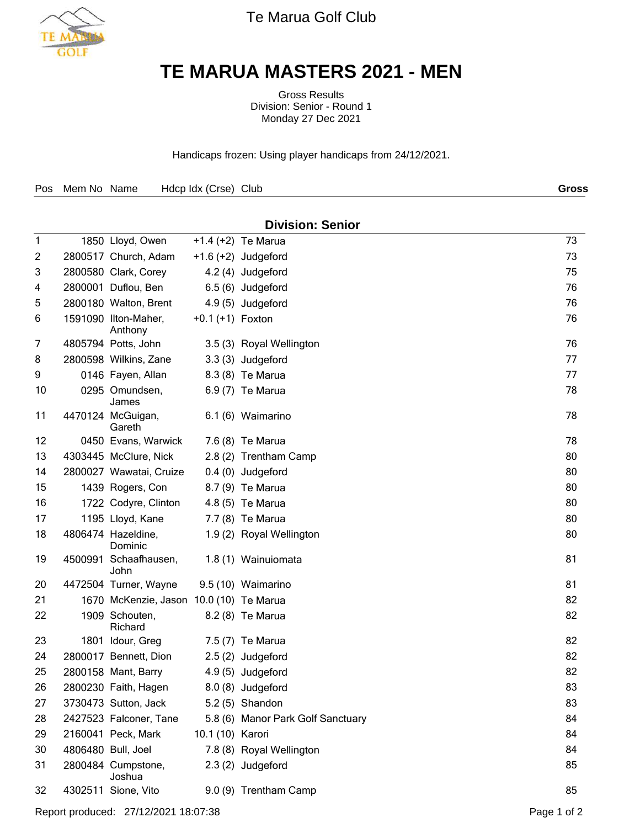

Te Marua Golf Club

## **TE MARUA MASTERS 2021 - MEN**

Gross Results Division: Senior - Round 1 Monday 27 Dec 2021

Handicaps frozen: Using player handicaps from 24/12/2021.

| Hdcp Idx (Crse) Club<br>Pos Mem No Name | Gross |
|-----------------------------------------|-------|
|-----------------------------------------|-------|

|              | <b>Division: Senior</b> |                                         |                    |                                   |    |  |  |  |
|--------------|-------------------------|-----------------------------------------|--------------------|-----------------------------------|----|--|--|--|
| $\mathbf{1}$ |                         | 1850 Lloyd, Owen                        |                    | $+1.4 (+2)$ Te Marua              | 73 |  |  |  |
| 2            |                         | 2800517 Church, Adam                    |                    | $+1.6 (+2)$ Judgeford             | 73 |  |  |  |
| 3            |                         | 2800580 Clark, Corey                    |                    | 4.2 (4) Judgeford                 | 75 |  |  |  |
| 4            |                         | 2800001 Duflou, Ben                     |                    | 6.5 (6) Judgeford                 | 76 |  |  |  |
| 5            |                         | 2800180 Walton, Brent                   |                    | 4.9 (5) Judgeford                 | 76 |  |  |  |
| 6            |                         | 1591090 Ilton-Maher,<br>Anthony         | $+0.1 (+1)$ Foxton |                                   | 76 |  |  |  |
| 7            |                         | 4805794 Potts, John                     |                    | 3.5 (3) Royal Wellington          | 76 |  |  |  |
| 8            |                         | 2800598 Wilkins, Zane                   |                    | 3.3 (3) Judgeford                 | 77 |  |  |  |
| 9            |                         | 0146 Fayen, Allan                       |                    | 8.3 (8) Te Marua                  | 77 |  |  |  |
| 10           |                         | 0295 Omundsen,<br>James                 |                    | 6.9 (7) Te Marua                  | 78 |  |  |  |
| 11           |                         | 4470124 McGuigan,<br>Gareth             |                    | 6.1 (6) Waimarino                 | 78 |  |  |  |
| 12           |                         | 0450 Evans, Warwick                     |                    | 7.6 (8) Te Marua                  | 78 |  |  |  |
| 13           |                         | 4303445 McClure, Nick                   |                    | 2.8 (2) Trentham Camp             | 80 |  |  |  |
| 14           |                         | 2800027 Wawatai, Cruize                 |                    | 0.4 (0) Judgeford                 | 80 |  |  |  |
| 15           |                         | 1439 Rogers, Con                        |                    | 8.7 (9) Te Marua                  | 80 |  |  |  |
| 16           |                         | 1722 Codyre, Clinton                    |                    | 4.8 (5) Te Marua                  | 80 |  |  |  |
| 17           |                         | 1195 Lloyd, Kane                        |                    | 7.7 (8) Te Marua                  | 80 |  |  |  |
| 18           |                         | 4806474 Hazeldine,<br>Dominic           |                    | 1.9 (2) Royal Wellington          | 80 |  |  |  |
| 19           |                         | 4500991 Schaafhausen,<br>John           |                    | 1.8 (1) Wainuiomata               | 81 |  |  |  |
| 20           |                         | 4472504 Turner, Wayne                   |                    | 9.5 (10) Waimarino                | 81 |  |  |  |
| 21           |                         | 1670 McKenzie, Jason 10.0 (10) Te Marua |                    |                                   | 82 |  |  |  |
| 22           |                         | 1909 Schouten,<br>Richard               |                    | 8.2 (8) Te Marua                  | 82 |  |  |  |
| 23           |                         | 1801 Idour, Greg                        |                    | 7.5 (7) Te Marua                  | 82 |  |  |  |
| 24           |                         | 2800017 Bennett, Dion                   |                    | 2.5 (2) Judgeford                 | 82 |  |  |  |
| 25           |                         | 2800158 Mant, Barry                     |                    | 4.9 (5) Judgeford                 | 82 |  |  |  |
| 26           |                         | 2800230 Faith, Hagen                    |                    | 8.0 (8) Judgeford                 | 83 |  |  |  |
| 27           |                         | 3730473 Sutton, Jack                    |                    | 5.2 (5) Shandon                   | 83 |  |  |  |
| 28           |                         | 2427523 Falconer, Tane                  |                    | 5.8 (6) Manor Park Golf Sanctuary | 84 |  |  |  |
| 29           |                         | 2160041 Peck, Mark                      | 10.1 (10) Karori   |                                   | 84 |  |  |  |
| 30           |                         | 4806480 Bull, Joel                      |                    | 7.8 (8) Royal Wellington          | 84 |  |  |  |
| 31           |                         | 2800484 Cumpstone,<br>Joshua            |                    | 2.3 (2) Judgeford                 | 85 |  |  |  |
| 32           |                         | 4302511 Sione, Vito                     |                    | 9.0 (9) Trentham Camp             | 85 |  |  |  |